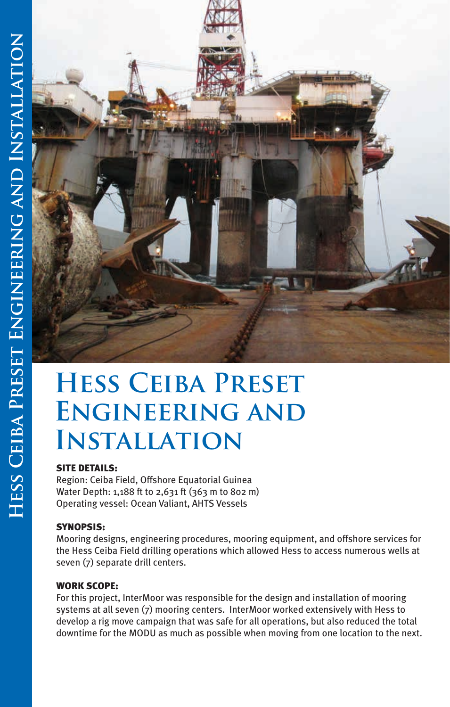

# **Hess Ceiba Preset Engineering and Installation**

## SITE DETAILS:

Region: Ceiba Field, Offshore Equatorial Guinea Water Depth: 1,188 ft to 2,631 ft (363 m to 802 m) Operating vessel: Ocean Valiant, AHTS Vessels

## SYNOPSIS:

Mooring designs, engineering procedures, mooring equipment, and offshore services for the Hess Ceiba Field drilling operations which allowed Hess to access numerous wells at seven (7) separate drill centers.

### WORK SCOPE:

For this project, InterMoor was responsible for the design and installation of mooring systems at all seven (7) mooring centers. InterMoor worked extensively with Hess to develop a rig move campaign that was safe for all operations, but also reduced the total downtime for the MODU as much as possible when moving from one location to the next.